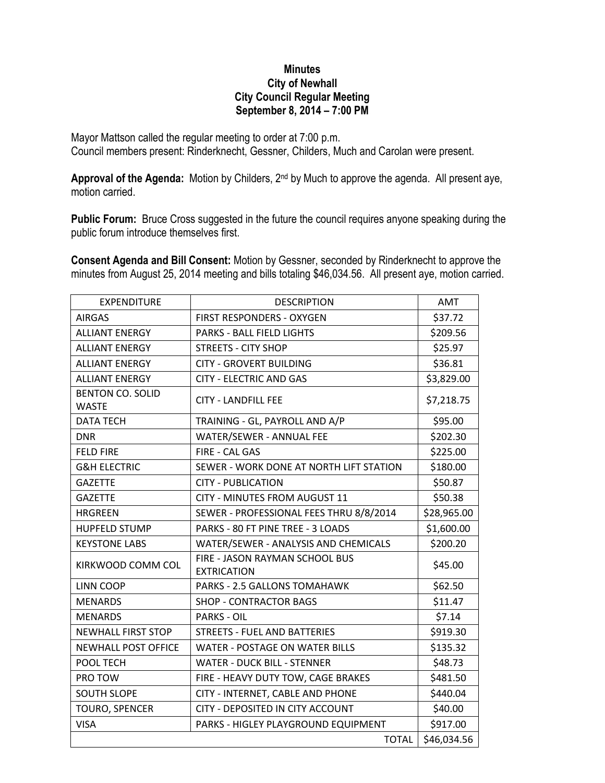## **Minutes City of Newhall City Council Regular Meeting September 8, 2014 – 7:00 PM**

Mayor Mattson called the regular meeting to order at 7:00 p.m. Council members present: Rinderknecht, Gessner, Childers, Much and Carolan were present.

**Approval of the Agenda:** Motion by Childers, 2nd by Much to approve the agenda. All present aye, motion carried.

**Public Forum:** Bruce Cross suggested in the future the council requires anyone speaking during the public forum introduce themselves first.

**Consent Agenda and Bill Consent:** Motion by Gessner, seconded by Rinderknecht to approve the minutes from August 25, 2014 meeting and bills totaling \$46,034.56. All present aye, motion carried.

| <b>EXPENDITURE</b>         | <b>DESCRIPTION</b>                                          | AMT         |
|----------------------------|-------------------------------------------------------------|-------------|
| <b>AIRGAS</b>              | FIRST RESPONDERS - OXYGEN                                   | \$37.72     |
| <b>ALLIANT ENERGY</b>      | <b>PARKS - BALL FIELD LIGHTS</b>                            | \$209.56    |
| <b>ALLIANT ENERGY</b>      | <b>STREETS - CITY SHOP</b>                                  | \$25.97     |
| <b>ALLIANT ENERGY</b>      | <b>CITY - GROVERT BUILDING</b>                              | \$36.81     |
| <b>ALLIANT ENERGY</b>      | <b>CITY - ELECTRIC AND GAS</b>                              | \$3,829.00  |
| <b>BENTON CO. SOLID</b>    | <b>CITY - LANDFILL FEE</b>                                  | \$7,218.75  |
| <b>WASTE</b>               |                                                             |             |
| <b>DATA TECH</b>           | TRAINING - GL, PAYROLL AND A/P                              | \$95.00     |
| <b>DNR</b>                 | WATER/SEWER - ANNUAL FEE                                    | \$202.30    |
| <b>FELD FIRE</b>           | FIRE - CAL GAS                                              | \$225.00    |
| <b>G&amp;H ELECTRIC</b>    | SEWER - WORK DONE AT NORTH LIFT STATION                     | \$180.00    |
| <b>GAZETTE</b>             | <b>CITY - PUBLICATION</b>                                   | \$50.87     |
| <b>GAZETTE</b>             | CITY - MINUTES FROM AUGUST 11                               | \$50.38     |
| <b>HRGREEN</b>             | SEWER - PROFESSIONAL FEES THRU 8/8/2014                     | \$28,965.00 |
| <b>HUPFELD STUMP</b>       | PARKS - 80 FT PINE TREE - 3 LOADS                           | \$1,600.00  |
| <b>KEYSTONE LABS</b>       | WATER/SEWER - ANALYSIS AND CHEMICALS                        | \$200.20    |
| KIRKWOOD COMM COL          | <b>FIRE - JASON RAYMAN SCHOOL BUS</b><br><b>EXTRICATION</b> | \$45.00     |
| <b>LINN COOP</b>           | PARKS - 2.5 GALLONS TOMAHAWK                                | \$62.50     |
| <b>MENARDS</b>             | <b>SHOP - CONTRACTOR BAGS</b>                               | \$11.47     |
| <b>MENARDS</b>             | <b>PARKS - OIL</b>                                          | \$7.14      |
| <b>NEWHALL FIRST STOP</b>  | <b>STREETS - FUEL AND BATTERIES</b>                         | \$919.30    |
| <b>NEWHALL POST OFFICE</b> | <b>WATER - POSTAGE ON WATER BILLS</b>                       | \$135.32    |
| POOL TECH                  | <b>WATER - DUCK BILL - STENNER</b>                          | \$48.73     |
| PRO TOW                    | FIRE - HEAVY DUTY TOW, CAGE BRAKES                          | \$481.50    |
| <b>SOUTH SLOPE</b>         | CITY - INTERNET, CABLE AND PHONE                            | \$440.04    |
| TOURO, SPENCER             | CITY - DEPOSITED IN CITY ACCOUNT                            | \$40.00     |
| <b>VISA</b>                | PARKS - HIGLEY PLAYGROUND EQUIPMENT                         | \$917.00    |
|                            | <b>TOTAL</b>                                                | \$46,034.56 |